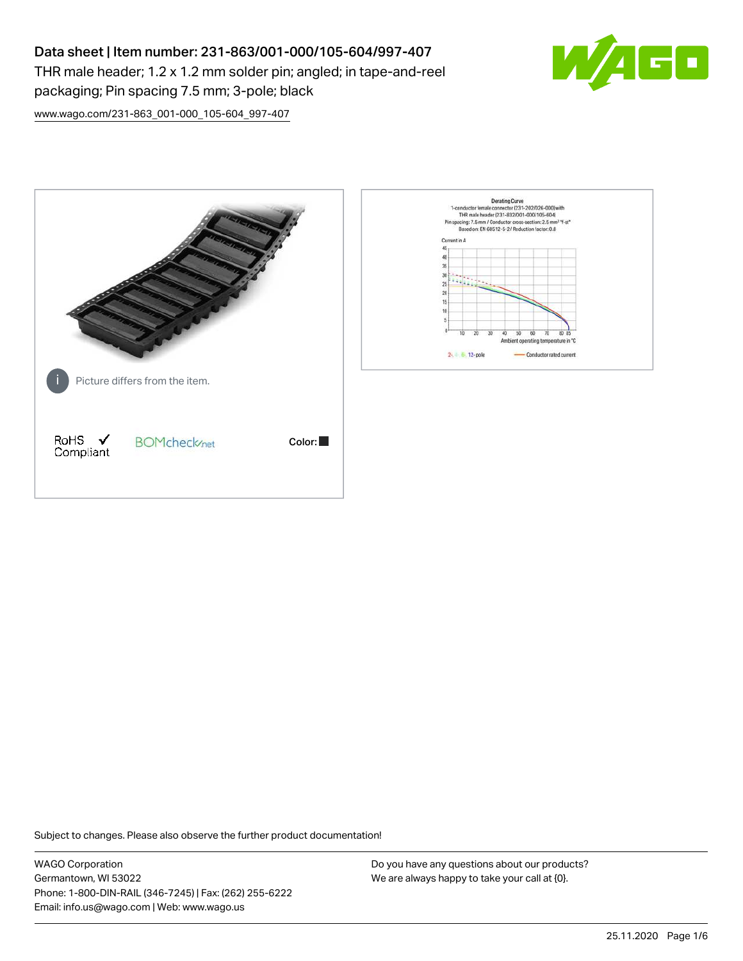# Data sheet | Item number: 231-863/001-000/105-604/997-407

THR male header; 1.2 x 1.2 mm solder pin; angled; in tape-and-reel packaging; Pin spacing 7.5 mm; 3-pole; black



[www.wago.com/231-863\\_001-000\\_105-604\\_997-407](http://www.wago.com/231-863_001-000_105-604_997-407)



Subject to changes. Please also observe the further product documentation!

WAGO Corporation Germantown, WI 53022 Phone: 1-800-DIN-RAIL (346-7245) | Fax: (262) 255-6222 Email: info.us@wago.com | Web: www.wago.us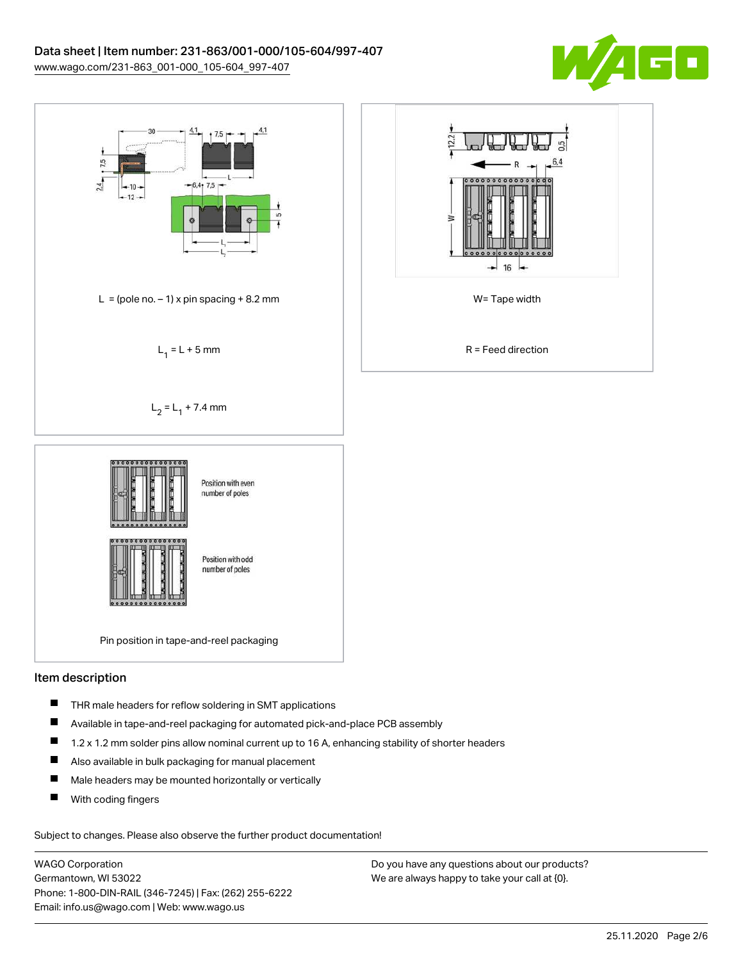



### Item description

- $\blacksquare$ THR male headers for reflow soldering in SMT applications
- $\blacksquare$ Available in tape-and-reel packaging for automated pick-and-place PCB assembly
- $\blacksquare$ 1.2 x 1.2 mm solder pins allow nominal current up to 16 A, enhancing stability of shorter headers
- $\blacksquare$ Also available in bulk packaging for manual placement
- $\blacksquare$ Male headers may be mounted horizontally or vertically
- П With coding fingers

Subject to changes. Please also observe the further product documentation!

WAGO Corporation Germantown, WI 53022 Phone: 1-800-DIN-RAIL (346-7245) | Fax: (262) 255-6222 Email: info.us@wago.com | Web: www.wago.us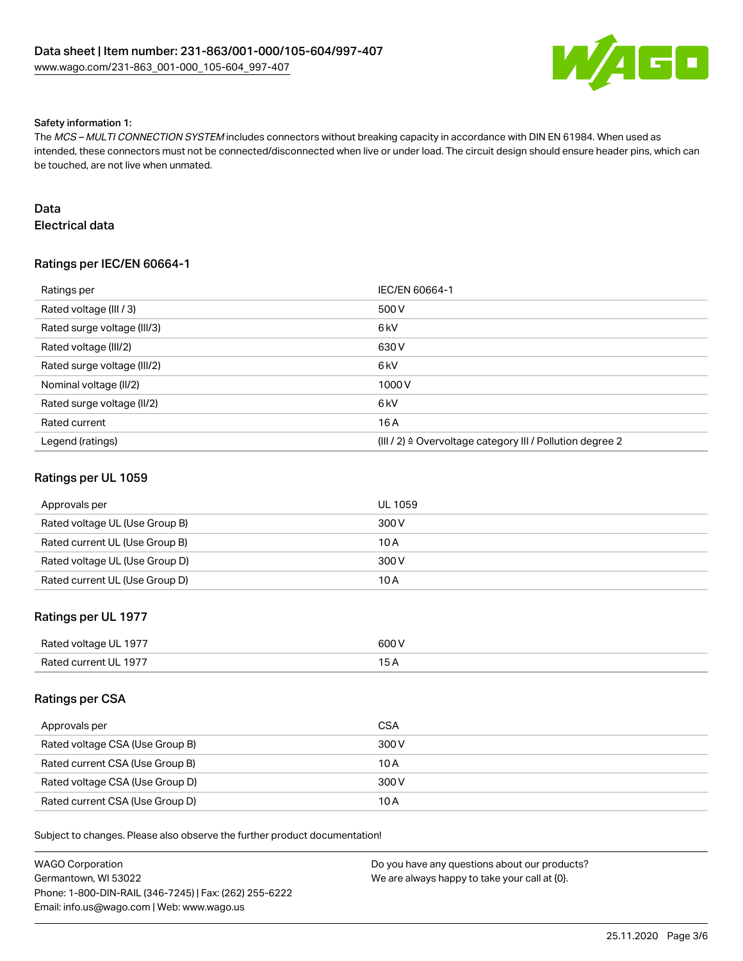

#### Safety information 1:

The MCS – MULTI CONNECTION SYSTEM includes connectors without breaking capacity in accordance with DIN EN 61984. When used as intended, these connectors must not be connected/disconnected when live or under load. The circuit design should ensure header pins, which can be touched, are not live when unmated.

# Data

Electrical data

# Ratings per IEC/EN 60664-1

| Ratings per                 | IEC/EN 60664-1                                                       |
|-----------------------------|----------------------------------------------------------------------|
| Rated voltage (III / 3)     | 500 V                                                                |
| Rated surge voltage (III/3) | 6 <sub>kV</sub>                                                      |
| Rated voltage (III/2)       | 630 V                                                                |
| Rated surge voltage (III/2) | 6 kV                                                                 |
| Nominal voltage (II/2)      | 1000V                                                                |
| Rated surge voltage (II/2)  | 6 kV                                                                 |
| Rated current               | 16 A                                                                 |
| Legend (ratings)            | (III / 2) $\triangleq$ Overvoltage category III / Pollution degree 2 |

### Ratings per UL 1059

| Approvals per                  | <b>UL 1059</b> |
|--------------------------------|----------------|
| Rated voltage UL (Use Group B) | 300 V          |
| Rated current UL (Use Group B) | 10 A           |
| Rated voltage UL (Use Group D) | 300 V          |
| Rated current UL (Use Group D) | 10 A           |

# Ratings per UL 1977

| Rated voltage UL 1977 | 600 V |
|-----------------------|-------|
| Rated current UL 1977 |       |

### Ratings per CSA

| Approvals per                   | <b>CSA</b> |
|---------------------------------|------------|
| Rated voltage CSA (Use Group B) | 300 V      |
| Rated current CSA (Use Group B) | 10 A       |
| Rated voltage CSA (Use Group D) | 300 V      |
| Rated current CSA (Use Group D) | 10 A       |

Subject to changes. Please also observe the further product documentation!

| WAGO Corporation                                       | Do you have any questions about our products? |
|--------------------------------------------------------|-----------------------------------------------|
| Germantown. WI 53022                                   | We are always happy to take your call at {0}. |
| Phone: 1-800-DIN-RAIL (346-7245)   Fax: (262) 255-6222 |                                               |
| Email: info.us@wago.com   Web: www.wago.us             |                                               |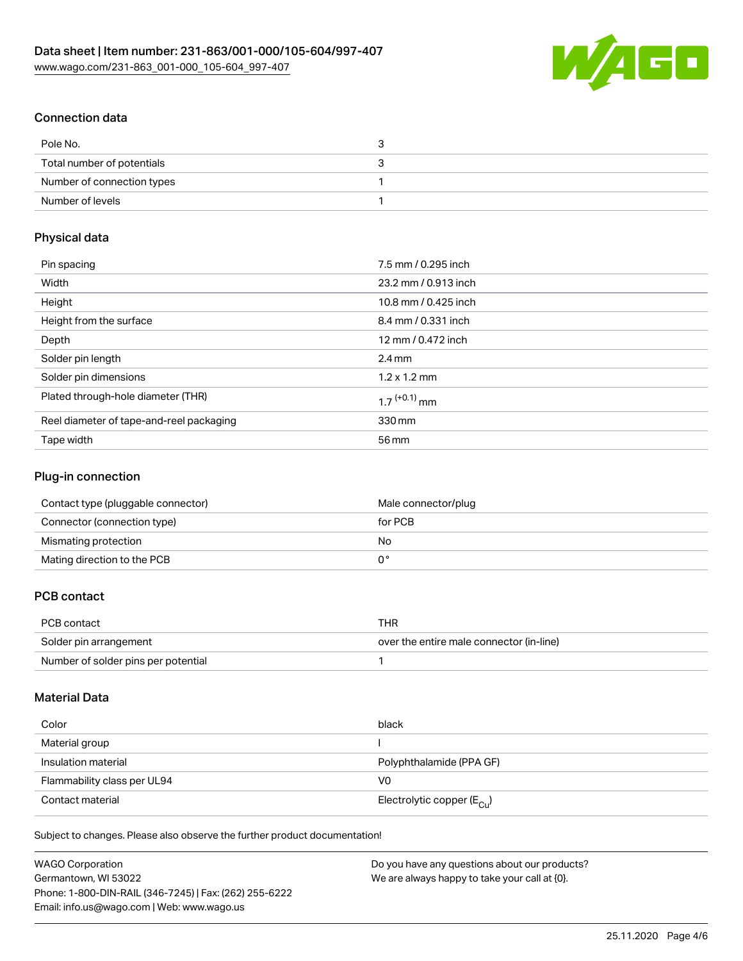

# Connection data

| Pole No.                   |  |
|----------------------------|--|
| Total number of potentials |  |
| Number of connection types |  |
| Number of levels           |  |

# Physical data

| Pin spacing                              | 7.5 mm / 0.295 inch        |
|------------------------------------------|----------------------------|
| Width                                    | 23.2 mm / 0.913 inch       |
| Height                                   | 10.8 mm / 0.425 inch       |
| Height from the surface                  | 8.4 mm / 0.331 inch        |
| Depth                                    | 12 mm / 0.472 inch         |
| Solder pin length                        | $2.4 \text{ mm}$           |
| Solder pin dimensions                    | $1.2 \times 1.2$ mm        |
| Plated through-hole diameter (THR)       | $1.7$ <sup>(+0.1)</sup> mm |
| Reel diameter of tape-and-reel packaging | 330 mm                     |
| Tape width                               | 56 mm                      |

## Plug-in connection

| Contact type (pluggable connector) | Male connector/plug |
|------------------------------------|---------------------|
| Connector (connection type)        | for PCB             |
| Mismating protection               | No.                 |
| Mating direction to the PCB        |                     |

# PCB contact

| PCB contact                         | THR                                      |
|-------------------------------------|------------------------------------------|
| Solder pin arrangement              | over the entire male connector (in-line) |
| Number of solder pins per potential |                                          |

# Material Data

| Color                       | black                                   |
|-----------------------------|-----------------------------------------|
| Material group              |                                         |
| Insulation material         | Polyphthalamide (PPA GF)                |
| Flammability class per UL94 | V0                                      |
| Contact material            | Electrolytic copper ( $E_{\text{Cu}}$ ) |

Subject to changes. Please also observe the further product documentation!

| <b>WAGO Corporation</b>                                | Do you have any questions about our products? |
|--------------------------------------------------------|-----------------------------------------------|
| Germantown, WI 53022                                   | We are always happy to take your call at {0}. |
| Phone: 1-800-DIN-RAIL (346-7245)   Fax: (262) 255-6222 |                                               |
| Email: info.us@wago.com   Web: www.wago.us             |                                               |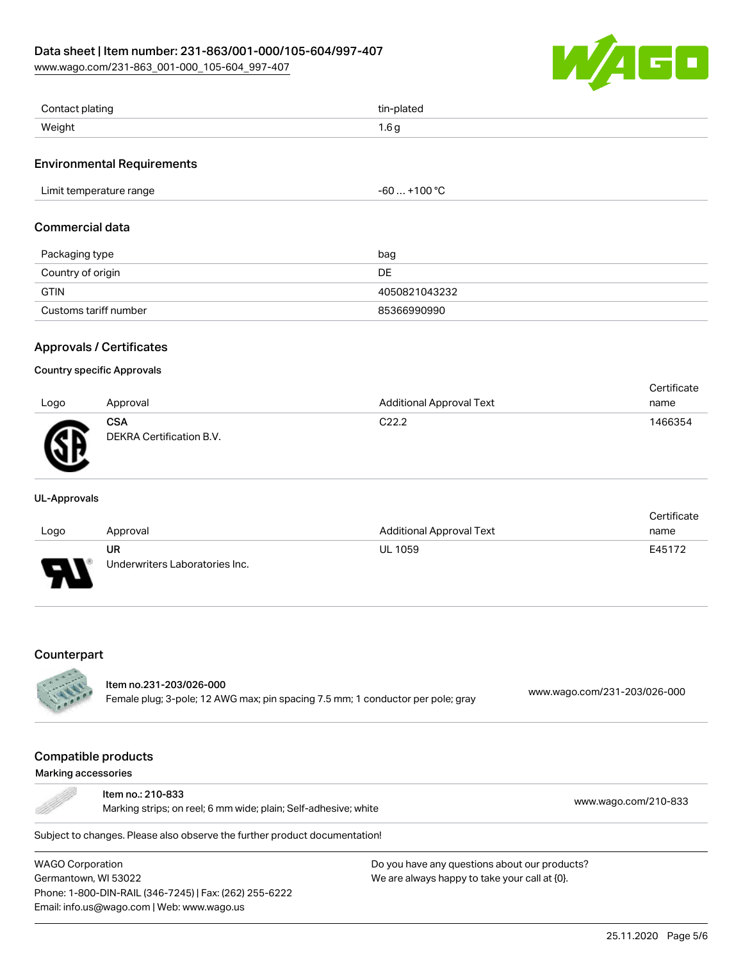# Data sheet | Item number: 231-863/001-000/105-604/997-407

[www.wago.com/231-863\\_001-000\\_105-604\\_997-407](http://www.wago.com/231-863_001-000_105-604_997-407)



| Contact plating | tin-plated           |
|-----------------|----------------------|
| Weight          | $\sim$<br>◢<br>ש ט.ו |

### Environmental Requirements

| Limit temperature range | .1008<br>-bU<br>. + IUU |
|-------------------------|-------------------------|
|-------------------------|-------------------------|

### Commercial data

| Packaging type        | bag           |
|-----------------------|---------------|
| Country of origin     | DE            |
| <b>GTIN</b>           | 4050821043232 |
| Customs tariff number | 85366990990   |

# Approvals / Certificates

### Country specific Approvals

|      |                                        |                                 | Certificate |
|------|----------------------------------------|---------------------------------|-------------|
| Logo | Approval                               | <b>Additional Approval Text</b> | name        |
| ЛR   | <b>CSA</b><br>DEKRA Certification B.V. | C <sub>22.2</sub>               | 1466354     |

#### UL-Approvals

|      |                                |                          | Certificate |
|------|--------------------------------|--------------------------|-------------|
| Logo | Approval                       | Additional Approval Text | name        |
|      | UR                             | <b>UL 1059</b>           | E45172      |
| J    | Underwriters Laboratories Inc. |                          |             |

### **Counterpart**

|  | ltem no.231-203/026-000                                                         | www.wago.com/231-203/026-000 |
|--|---------------------------------------------------------------------------------|------------------------------|
|  | Female plug; 3-pole; 12 AWG max; pin spacing 7.5 mm; 1 conductor per pole; gray |                              |

# Compatible products

#### Marking accessories

÷

| ltem no.: 210-833<br>Marking strips; on reel; 6 mm wide; plain; Self-adhesive; white | www.wago.com/210-833 |
|--------------------------------------------------------------------------------------|----------------------|
| ubiect to changes. Please also observe the further product documentation!            |                      |

Subject to changes. Please also observe the further product documentation!

WAGO Corporation Germantown, WI 53022 Phone: 1-800-DIN-RAIL (346-7245) | Fax: (262) 255-6222 Email: info.us@wago.com | Web: www.wago.us